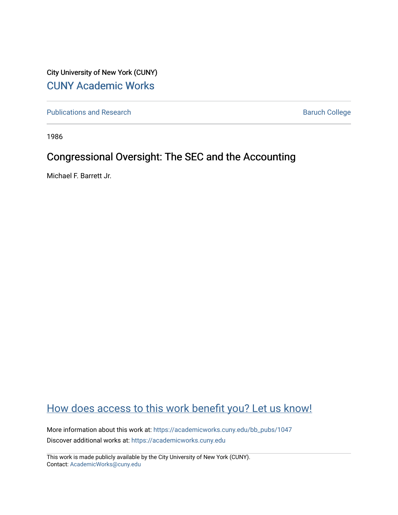City University of New York (CUNY) [CUNY Academic Works](https://academicworks.cuny.edu/) 

[Publications and Research](https://academicworks.cuny.edu/bb_pubs) **Baruch College** Baruch College

1986

# Congressional Oversight: The SEC and the Accounting

Michael F. Barrett Jr.

# [How does access to this work benefit you? Let us know!](http://ols.cuny.edu/academicworks/?ref=https://academicworks.cuny.edu/bb_pubs/1047)

More information about this work at: [https://academicworks.cuny.edu/bb\\_pubs/1047](https://academicworks.cuny.edu/bb_pubs/1047) Discover additional works at: [https://academicworks.cuny.edu](https://academicworks.cuny.edu/?)

This work is made publicly available by the City University of New York (CUNY). Contact: [AcademicWorks@cuny.edu](mailto:AcademicWorks@cuny.edu)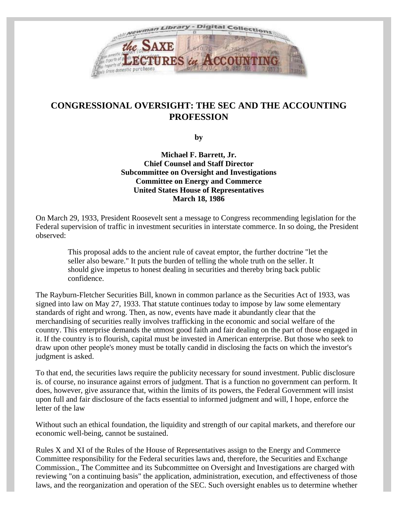

# **CONGRESSIONAL OVERSIGHT: THE SEC AND THE ACCOUNTING PROFESSION**

**by**

**Michael F. Barrett, Jr. Chief Counsel and Staff Director Subcommittee on Oversight and Investigations Committee on Energy and Commerce United States House of Representatives March 18, 1986**

On March 29, 1933, President Roosevelt sent a message to Congress recommending legislation for the Federal supervision of traffic in investment securities in interstate commerce. In so doing, the President observed:

This proposal adds to the ancient rule of caveat emptor, the further doctrine "let the seller also beware." It puts the burden of telling the whole truth on the seller. It should give impetus to honest dealing in securities and thereby bring back public confidence.

The Rayburn-Fletcher Securities Bill, known in common parlance as the Securities Act of 1933, was signed into law on May 27, 1933. That statute continues today to impose by law some elementary standards of right and wrong. Then, as now, events have made it abundantly clear that the merchandising of securities really involves trafficking in the economic and social welfare of the country. This enterprise demands the utmost good faith and fair dealing on the part of those engaged in it. If the country is to flourish, capital must be invested in American enterprise. But those who seek to draw upon other people's money must be totally candid in disclosing the facts on which the investor's judgment is asked.

To that end, the securities laws require the publicity necessary for sound investment. Public disclosure is. of course, no insurance against errors of judgment. That is a function no government can perform. It does, however, give assurance that, within the limits of its powers, the Federal Government will insist upon full and fair disclosure of the facts essential to informed judgment and will, I hope, enforce the letter of the law

Without such an ethical foundation, the liquidity and strength of our capital markets, and therefore our economic well-being, cannot be sustained.

Rules X and XI of the Rules of the House of Representatives assign to the Energy and Commerce Committee responsibility for the Federal securities laws and, therefore, the Securities and Exchange Commission., The Committee and its Subcommittee on Oversight and Investigations are charged with reviewing "on a continuing basis" the application, administration, execution, and effectiveness of those laws, and the reorganization and operation of the SEC. Such oversight enables us to determine whether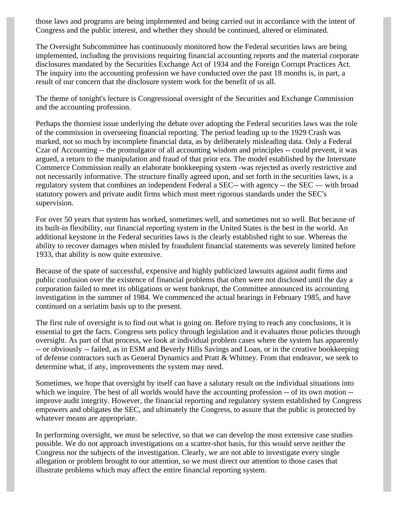those laws and programs are being implemented and being carried out in accordance with the intent of Congress and the public interest, and whether they should be continued, altered or eliminated.

The Oversight Subcommittee has continuously monitored how the Federal securities laws are being implemented, including the provisions requiring financial accounting reports and the material corporate disclosures mandated by the Securities Exchange Act of 1934 and the Foreign Corrupt Practices Act. The inquiry into the accounting profession we have conducted over the past 18 months is, in part, a result of our concern that the disclosure system work for the benefit of us all.

The theme of tonight's lecture is Congressional oversight of the Securities and Exchange Commission and the accounting profession.

Perhaps the thorniest issue underlying the debate over adopting the Federal securities laws was the role of the commission in overseeing financial reporting. The period leading up to the 1929 Crash was marked, not so much by incomplete financial data, as by deliberately misleading data. Only a Federal Czar of Accounting -- the promulgator of all accounting wisdom and principles -- could prevent, it was argued, a return to the manipulation and fraud of that prior era. The model established by the Interstate Commerce Commission really an elaborate bookkeeping system -was rejected as overly restrictive and not necessarily informative. The structure finally agreed upon, and set forth in the securities laws, is a regulatory system that combines an independent Federal a SEC-- with agency -- the SEC — with broad statutory powers and private audit firms which must meet rigorous standards under the SEC's supervision.

For over 50 years that system has worked, sometimes well, and sometimes not so well. But because of its built-in flexibility, our financial reporting system in the United States is the best in the world. An additional keystone in the Federal securities laws is the clearly established right to sue. Whereas the ability to recover damages when misled by fraudulent financial statements was severely limited before 1933, that ability is now quite extensive.

Because of the spate of successful, expensive and highly publicized lawsuits against audit firms and public confusion over the existence of financial problems that often were not disclosed until the day a corporation failed to meet its obligations or went bankrupt, the Committee announced its accounting investigation in the summer of 1984. We commenced the actual hearings in February 1985, and have continued on a seriatim basis up to the present.

The first rule of oversight is to find out what is going on. Before trying to reach any conclusions, it is essential to get the facts. Congress sets policy through legislation and it evaluates those policies through oversight. As part of that process, we look at individual problem cases where the system has apparently -- or obviously -- failed, as in ESM and Beverly Hills Savings and Loan, or in the creative bookkeeping of defense contractors such as General Dynamics and Pratt & Whitney. From that endeavor, we seek to determine what, if any, improvements the system may need.

Sometimes, we hope that oversight by itself can have a salutary result on the individual situations into which we inquire. The best of all worlds would have the accounting profession -- of its own motion -improve audit integrity. However, the financial reporting and regulatory system established by Congress empowers and obligates the SEC, and ultimately the Congress, to assure that the public is protected by whatever means are appropriate.

In performing oversight, we must be selective, so that we can develop the most extensive case studies possible. We do not approach investigations on a scatter-shot basis, for this would serve neither the Congress nor the subjects of the investigation. Clearly, we are not able to investigate every single allegation or problem brought to our attention, so we must direct our attention to those cases that illustrate problems which may affect the entire financial reporting system.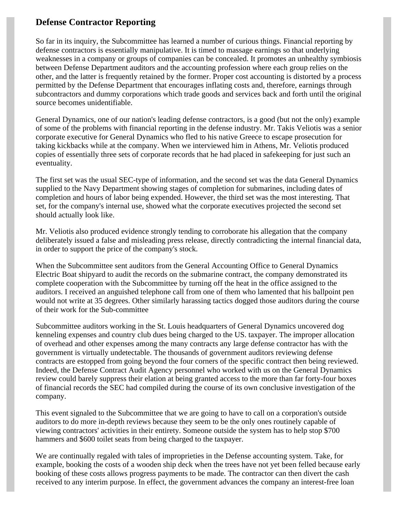## **Defense Contractor Reporting**

So far in its inquiry, the Subcommittee has learned a number of curious things. Financial reporting by defense contractors is essentially manipulative. It is timed to massage earnings so that underlying weaknesses in a company or groups of companies can be concealed. It promotes an unhealthy symbiosis between Defense Department auditors and the accounting profession where each group relies on the other, and the latter is frequently retained by the former. Proper cost accounting is distorted by a process permitted by the Defense Department that encourages inflating costs and, therefore, earnings through subcontractors and dummy corporations which trade goods and services back and forth until the original source becomes unidentifiable.

General Dynamics, one of our nation's leading defense contractors, is a good (but not the only) example of some of the problems with financial reporting in the defense industry. Mr. Takis Veliotis was a senior corporate executive for General Dynamics who fled to his native Greece to escape prosecution for taking kickbacks while at the company. When we interviewed him in Athens, Mr. Veliotis produced copies of essentially three sets of corporate records that he had placed in safekeeping for just such an eventuality.

The first set was the usual SEC-type of information, and the second set was the data General Dynamics supplied to the Navy Department showing stages of completion for submarines, including dates of completion and hours of labor being expended. However, the third set was the most interesting. That set, for the company's internal use, showed what the corporate executives projected the second set should actually look like.

Mr. Veliotis also produced evidence strongly tending to corroborate his allegation that the company deliberately issued a false and misleading press release, directly contradicting the internal financial data, in order to support the price of the company's stock.

When the Subcommittee sent auditors from the General Accounting Office to General Dynamics Electric Boat shipyard to audit the records on the submarine contract, the company demonstrated its complete cooperation with the Subcommittee by turning off the heat in the office assigned to the auditors. I received an anguished telephone call from one of them who lamented that his ballpoint pen would not write at 35 degrees. Other similarly harassing tactics dogged those auditors during the course of their work for the Sub-committee

Subcommittee auditors working in the St. Louis headquarters of General Dynamics uncovered dog kenneling expenses and country club dues being charged to the US. taxpayer. The improper allocation of overhead and other expenses among the many contracts any large defense contractor has with the government is virtually undetectable. The thousands of government auditors reviewing defense contracts are estopped from going beyond the four corners of the specific contract then being reviewed. Indeed, the Defense Contract Audit Agency personnel who worked with us on the General Dynamics review could barely suppress their elation at being granted access to the more than far forty-four boxes of financial records the SEC had compiled during the course of its own conclusive investigation of the company.

This event signaled to the Subcommittee that we are going to have to call on a corporation's outside auditors to do more in-depth reviews because they seem to be the only ones routinely capable of viewing contractors' activities in their entirety. Someone outside the system has to help stop \$700 hammers and \$600 toilet seats from being charged to the taxpayer.

We are continually regaled with tales of improprieties in the Defense accounting system. Take, for example, booking the costs of a wooden ship deck when the trees have not yet been felled because early booking of these costs allows progress payments to be made. The contractor can then divert the cash received to any interim purpose. In effect, the government advances the company an interest-free loan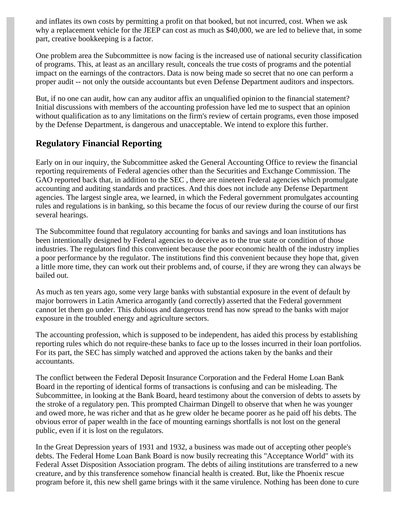and inflates its own costs by permitting a profit on that booked, but not incurred, cost. When we ask why a replacement vehicle for the JEEP can cost as much as \$40,000, we are led to believe that, in some part, creative bookkeeping is a factor.

One problem area the Subcommittee is now facing is the increased use of national security classification of programs. This, at least as an ancillary result, conceals the true costs of programs and the potential impact on the earnings of the contractors. Data is now being made so secret that no one can perform a proper audit -- not only the outside accountants but even Defense Department auditors and inspectors.

But, if no one can audit, how can any auditor affix an unqualified opinion to the financial statement? Initial discussions with members of the accounting profession have led me to suspect that an opinion without qualification as to any limitations on the firm's review of certain programs, even those imposed by the Defense Department, is dangerous and unacceptable. We intend to explore this further.

#### **Regulatory Financial Reporting**

Early on in our inquiry, the Subcommittee asked the General Accounting Office to review the financial reporting requirements of Federal agencies other than the Securities and Exchange Commission. The GAO reported back that, in addition to the SEC , there are nineteen Federal agencies which promulgate accounting and auditing standards and practices. And this does not include any Defense Department agencies. The largest single area, we learned, in which the Federal government promulgates accounting rules and regulations is in banking, so this became the focus of our review during the course of our first several hearings.

The Subcommittee found that regulatory accounting for banks and savings and loan institutions has been intentionally designed by Federal agencies to deceive as to the true state or condition of those industries. The regulators find this convenient because the poor economic health of the industry implies a poor performance by the regulator. The institutions find this convenient because they hope that, given a little more time, they can work out their problems and, of course, if they are wrong they can always be bailed out.

As much as ten years ago, some very large banks with substantial exposure in the event of default by major borrowers in Latin America arrogantly (and correctly) asserted that the Federal government cannot let them go under. This dubious and dangerous trend has now spread to the banks with major exposure in the troubled energy and agriculture sectors.

The accounting profession, which is supposed to be independent, has aided this process by establishing reporting rules which do not require-these banks to face up to the losses incurred in their loan portfolios. For its part, the SEC has simply watched and approved the actions taken by the banks and their accountants.

The conflict between the Federal Deposit Insurance Corporation and the Federal Home Loan Bank Board in the reporting of identical forms of transactions is confusing and can be misleading. The Subcommittee, in looking at the Bank Board, heard testimony about the conversion of debts to assets by the stroke of a regulatory pen. This prompted Chairman Dingell to observe that when he was younger and owed more, he was richer and that as he grew older he became poorer as he paid off his debts. The obvious error of paper wealth in the face of mounting earnings shortfalls is not lost on the general public, even if it is lost on the regulators.

In the Great Depression years of 1931 and 1932, a business was made out of accepting other people's debts. The Federal Home Loan Bank Board is now busily recreating this "Acceptance World" with its Federal Asset Disposition Association program. The debts of ailing institutions are transferred to a new creature, and by this transference somehow financial health is created. But, like the Phoenix rescue program before it, this new shell game brings with it the same virulence. Nothing has been done to cure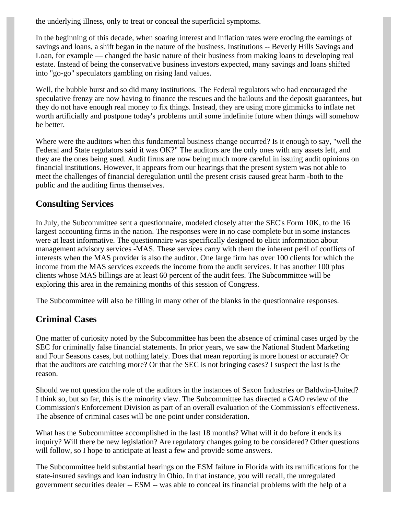the underlying illness, only to treat or conceal the superficial symptoms.

In the beginning of this decade, when soaring interest and inflation rates were eroding the earnings of savings and loans, a shift began in the nature of the business. Institutions -- Beverly Hills Savings and Loan, for example — changed the basic nature of their business from making loans to developing real estate. Instead of being the conservative business investors expected, many savings and loans shifted into "go-go" speculators gambling on rising land values.

Well, the bubble burst and so did many institutions. The Federal regulators who had encouraged the speculative frenzy are now having to finance the rescues and the bailouts and the deposit guarantees, but they do not have enough real money to fix things. Instead, they are using more gimmicks to inflate net worth artificially and postpone today's problems until some indefinite future when things will somehow be better.

Where were the auditors when this fundamental business change occurred? Is it enough to say, "well the Federal and State regulators said it was OK?" The auditors are the only ones with any assets left, and they are the ones being sued. Audit firms are now being much more careful in issuing audit opinions on financial institutions. However, it appears from our hearings that the present system was not able to meet the challenges of financial deregulation until the present crisis caused great harm -both to the public and the auditing firms themselves.

#### **Consulting Services**

In July, the Subcommittee sent a questionnaire, modeled closely after the SEC's Form 10K, to the 16 largest accounting firms in the nation. The responses were in no case complete but in some instances were at least informative. The questionnaire was specifically designed to elicit information about management advisory services -MAS. These services carry with them the inherent peril of conflicts of interests when the MAS provider is also the auditor. One large firm has over 100 clients for which the income from the MAS services exceeds the income from the audit services. It has another 100 plus clients whose MAS billings are at least 60 percent of the audit fees. The Subcommittee will be exploring this area in the remaining months of this session of Congress.

The Subcommittee will also be filling in many other of the blanks in the questionnaire responses.

## **Criminal Cases**

One matter of curiosity noted by the Subcommittee has been the absence of criminal cases urged by the SEC for criminally false financial statements. In prior years, we saw the National Student Marketing and Four Seasons cases, but nothing lately. Does that mean reporting is more honest or accurate? Or that the auditors are catching more? Or that the SEC is not bringing cases? I suspect the last is the reason.

Should we not question the role of the auditors in the instances of Saxon Industries or Baldwin-United? I think so, but so far, this is the minority view. The Subcommittee has directed a GAO review of the Commission's Enforcement Division as part of an overall evaluation of the Commission's effectiveness. The absence of criminal cases will be one point under consideration.

What has the Subcommittee accomplished in the last 18 months? What will it do before it ends its inquiry? Will there be new legislation? Are regulatory changes going to be considered? Other questions will follow, so I hope to anticipate at least a few and provide some answers.

The Subcommittee held substantial hearings on the ESM failure in Florida with its ramifications for the state-insured savings and loan industry in Ohio. In that instance, you will recall, the unregulated government securities dealer -- ESM -- was able to conceal its financial problems with the help of a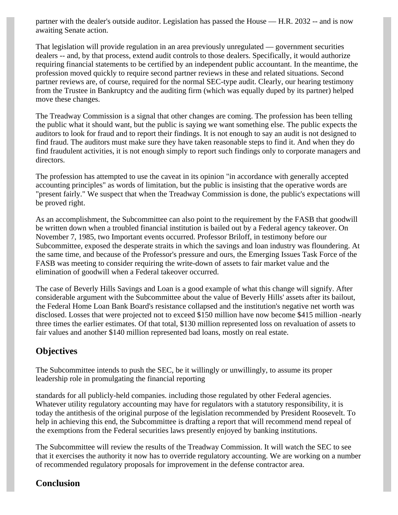partner with the dealer's outside auditor. Legislation has passed the House — H.R. 2032 -- and is now awaiting Senate action.

That legislation will provide regulation in an area previously unregulated — government securities dealers -- and, by that process, extend audit controls to those dealers. Specifically, it would authorize requiring financial statements to be certified by an independent public accountant. In the meantime, the profession moved quickly to require second partner reviews in these and related situations. Second partner reviews are, of course, required for the normal SEC-type audit. Clearly, our hearing testimony from the Trustee in Bankruptcy and the auditing firm (which was equally duped by its partner) helped move these changes.

The Treadway Commission is a signal that other changes are coming. The profession has been telling the public what it should want, but the public is saying we want something else. The public expects the auditors to look for fraud and to report their findings. It is not enough to say an audit is not designed to find fraud. The auditors must make sure they have taken reasonable steps to find it. And when they do find fraudulent activities, it is not enough simply to report such findings only to corporate managers and directors.

The profession has attempted to use the caveat in its opinion "in accordance with generally accepted accounting principles" as words of limitation, but the public is insisting that the operative words are "present fairly." We suspect that when the Treadway Commission is done, the public's expectations will be proved right.

As an accomplishment, the Subcommittee can also point to the requirement by the FASB that goodwill be written down when a troubled financial institution is bailed out by a Federal agency takeover. On November 7, 1985, two Important events occurred. Professor Briloff, in testimony before our Subcommittee, exposed the desperate straits in which the savings and loan industry was floundering. At the same time, and because of the Professor's pressure and ours, the Emerging Issues Task Force of the FASB was meeting to consider requiring the write-down of assets to fair market value and the elimination of goodwill when a Federal takeover occurred.

The case of Beverly Hills Savings and Loan is a good example of what this change will signify. After considerable argument with the Subcommittee about the value of Beverly Hills' assets after its bailout, the Federal Home Loan Bank Board's resistance collapsed and the institution's negative net worth was disclosed. Losses that were projected not to exceed \$150 million have now become \$415 million -nearly three times the earlier estimates. Of that total, \$130 million represented loss on revaluation of assets to fair values and another \$140 million represented bad loans, mostly on real estate.

## **Objectives**

The Subcommittee intends to push the SEC, be it willingly or unwillingly, to assume its proper leadership role in promulgating the financial reporting

standards for all publicly-held companies. including those regulated by other Federal agencies. Whatever utility regulatory accounting may have for regulators with a statutory responsibility, it is today the antithesis of the original purpose of the legislation recommended by President Roosevelt. To help in achieving this end, the Subcommittee is drafting a report that will recommend mend repeal of the exemptions from the Federal securities laws presently enjoyed by banking institutions.

The Subcommittee will review the results of the Treadway Commission. It will watch the SEC to see that it exercises the authority it now has to override regulatory accounting. We are working on a number of recommended regulatory proposals for improvement in the defense contractor area.

#### **Conclusion**